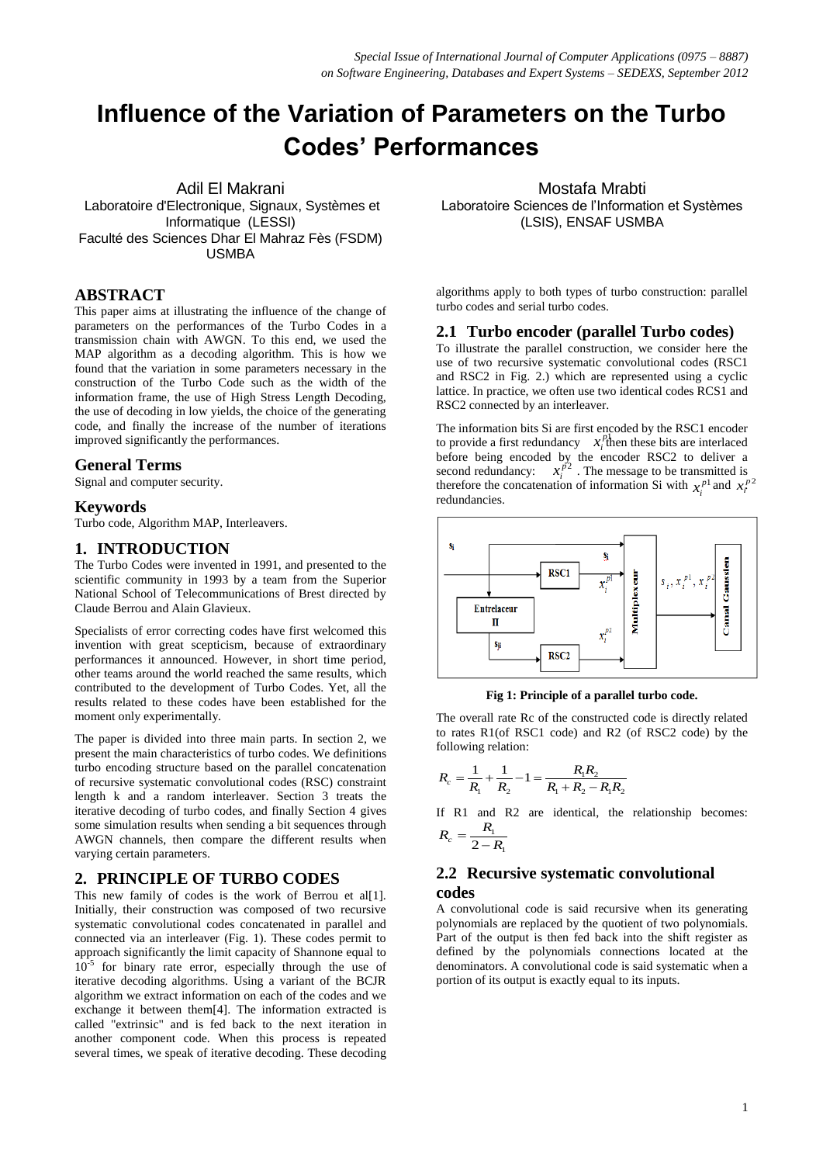# **Influence of the Variation of Parameters on the Turbo Codes' Performances**

Adil El Makrani Laboratoire d'Electronique, Signaux, Systèmes et Informatique (LESSI) Faculté des Sciences Dhar El Mahraz Fès (FSDM) USMBA

# **ABSTRACT**

This paper aims at illustrating the influence of the change of parameters on the performances of the Turbo Codes in a transmission chain with AWGN. To this end, we used the MAP algorithm as a decoding algorithm. This is how we found that the variation in some parameters necessary in the construction of the Turbo Code such as the width of the information frame, the use of High Stress Length Decoding, the use of decoding in low yields, the choice of the generating code, and finally the increase of the number of iterations improved significantly the performances.

## **General Terms**

Signal and computer security.

### **Keywords**

Turbo code, Algorithm MAP, Interleavers.

## **1. INTRODUCTION**

The Turbo Codes were invented in 1991, and presented to the scientific community in 1993 by a team from the Superior National School of Telecommunications of Brest directed by Claude Berrou and Alain Glavieux.

Specialists of error correcting codes have first welcomed this invention with great scepticism, because of extraordinary performances it announced. However, in short time period, other teams around the world reached the same results, which contributed to the development of Turbo Codes. Yet, all the results related to these codes have been established for the moment only experimentally.

The paper is divided into three main parts. In section 2, we present the main characteristics of turbo codes. We definitions turbo encoding structure based on the parallel concatenation of recursive systematic convolutional codes (RSC) constraint length k and a random interleaver. Section 3 treats the iterative decoding of turbo codes, and finally Section 4 gives some simulation results when sending a bit sequences through AWGN channels, then compare the different results when varying certain parameters.

## **2. PRINCIPLE OF TURBO CODES**

This new family of codes is the work of Berrou et al[1]. Initially, their construction was composed of two recursive systematic convolutional codes concatenated in parallel and connected via an interleaver (Fig. 1). These codes permit to approach significantly the limit capacity of Shannone equal to  $10^{-5}$  for binary rate error, especially through the use of iterative decoding algorithms. Using a variant of the BCJR algorithm we extract information on each of the codes and we exchange it between them[4]. The information extracted is called "extrinsic" and is fed back to the next iteration in another component code. When this process is repeated several times, we speak of iterative decoding. These decoding

Mostafa Mrabti Laboratoire Sciences de l'Information et Systèmes (LSIS), ENSAF USMBA

algorithms apply to both types of turbo construction: parallel turbo codes and serial turbo codes.

### **2.1 Turbo encoder (parallel Turbo codes)**

To illustrate the parallel construction, we consider here the use of two recursive systematic convolutional codes (RSC1 and RSC2 in Fig. 2.) which are represented using a cyclic lattice. In practice, we often use two identical codes RCS1 and RSC2 connected by an interleaver.

 $x_i^{p_2}$ therefore the concatenation of information Si with  $x_i^{p_1}$  and  $x_i^{p_2}$ The information bits Si are first encoded by the RSC1 encoder to provide a first redundancy  $x_i^{\text{pl}}$  *n* these bits are interlaced before being encoded by the encoder RSC2 to deliver a second redundancy:  $x_i^{p_2}$ . The message to be transmitted is redundancies.



#### **Fig 1: Principle of a parallel turbo code.**

The overall rate Rc of the constructed code is directly related to rates R1(of RSC1 code) and R2 (of RSC2 code) by the following relation:

$$
R_c = \frac{1}{R_1} + \frac{1}{R_2} - 1 = \frac{R_1 R_2}{R_1 + R_2 - R_1 R_2}
$$

1

If R1 and R2 are identical, the relationship becomes:  $\frac{R_1}{2 - R_1}$  $R_c = \frac{R}{2-1}$ 

# **2.2 Recursive systematic convolutional codes**

A convolutional code is said recursive when its generating polynomials are replaced by the quotient of two polynomials. Part of the output is then fed back into the shift register as defined by the polynomials connections located at the denominators. A convolutional code is said systematic when a portion of its output is exactly equal to its inputs.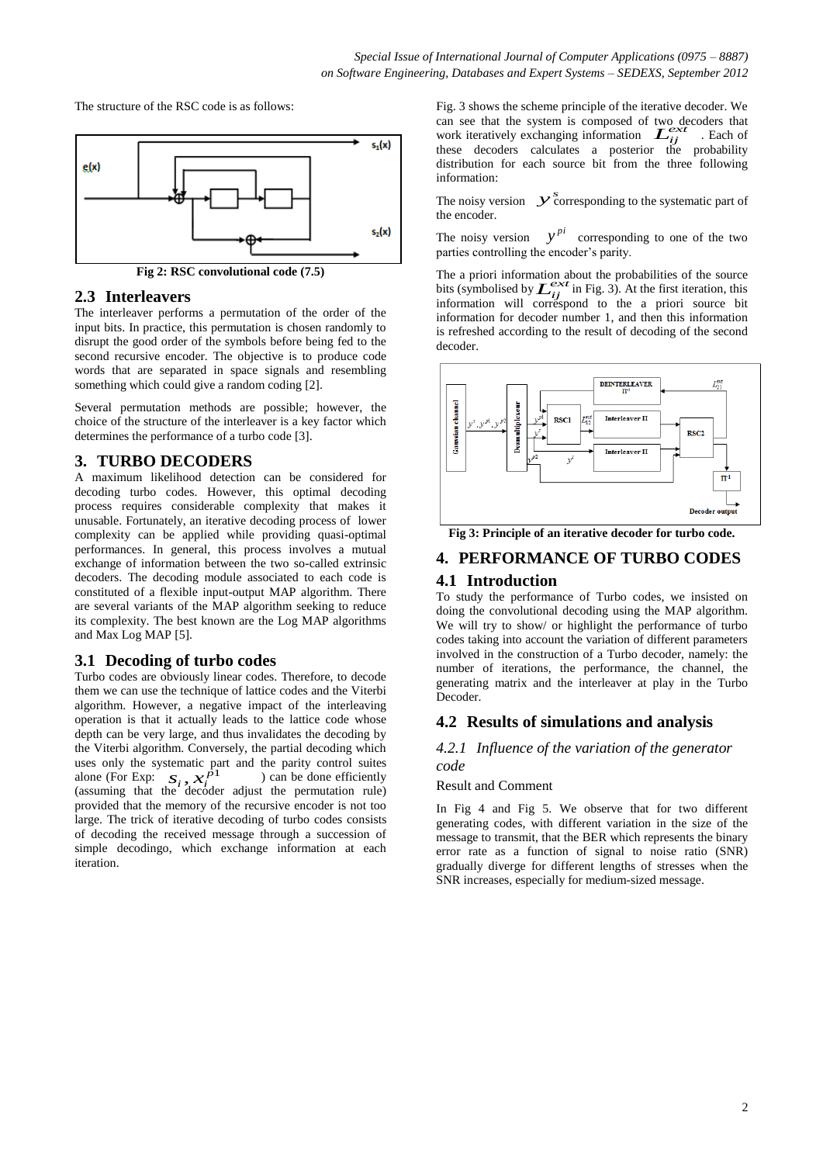The structure of the RSC code is as follows:



**Fig 2: RSC convolutional code (7.5)**

# **2.3 Interleavers**

The interleaver performs a permutation of the order of the input bits. In practice, this permutation is chosen randomly to disrupt the good order of the symbols before being fed to the second recursive encoder. The objective is to produce code words that are separated in space signals and resembling something which could give a random coding [2].

Several permutation methods are possible; however, the choice of the structure of the interleaver is a key factor which determines the performance of a turbo code [3].

# **3. TURBO DECODERS**

A maximum likelihood detection can be considered for decoding turbo codes. However, this optimal decoding process requires considerable complexity that makes it unusable. Fortunately, an iterative decoding process of lower complexity can be applied while providing quasi-optimal performances. In general, this process involves a mutual exchange of information between the two so-called extrinsic decoders. The decoding module associated to each code is constituted of a flexible input-output MAP algorithm. There are several variants of the MAP algorithm seeking to reduce its complexity. The best known are the Log MAP algorithms and Max Log MAP [5].

# **3.1 Decoding of turbo codes**

 $\overline{x}_i^{p_1}$ alone (For Exp:  $S_i$ ,  $X_i^{p1}$  ) can be done efficiently Turbo codes are obviously linear codes. Therefore, to decode them we can use the technique of lattice codes and the Viterbi algorithm. However, a negative impact of the interleaving operation is that it actually leads to the lattice code whose depth can be very large, and thus invalidates the decoding by the Viterbi algorithm. Conversely, the partial decoding which uses only the systematic part and the parity control suites (assuming that the decoder adjust the permutation rule) provided that the memory of the recursive encoder is not too large. The trick of iterative decoding of turbo codes consists of decoding the received message through a succession of simple decodingo, which exchange information at each iteration.

can see that the system is composed of two decoders that work iteratively exchanging information  $L_{ij}^{ext}$ . Each of Fig. 3 shows the scheme principle of the iterative decoder. We work iteratively exchanging information  $\mathcal{L}_{ij}^{ext}$  . Each of these decoders calculates a posterior the probability distribution for each source bit from the three following information:

The noisy version  $y$ <sup>2</sup> corresponding to the systematic part of the encoder.

The noisy version  $y^{pi}$  corresponding to one of the two parties controlling the encoder's parity.

The a priori information about the probabilities of the source bits (symbolised by  $L_{ii}^{ext}$  in Fig. 3). At the first iteration, this The a priori information about the probabilities of the source<br>bits (symbolised by  $\mathcal{L}^{ex\tau}_{ij}$  in Fig. 3). At the first iteration, this<br>information will correspond to the a priori source bit information for decoder number 1, and then this information is refreshed according to the result of decoding of the second decoder.



**Fig 3: Principle of an iterative decoder for turbo code.**

# **4. PERFORMANCE OF TURBO CODES**

# **4.1 Introduction**

To study the performance of Turbo codes, we insisted on doing the convolutional decoding using the MAP algorithm. We will try to show/ or highlight the performance of turbo codes taking into account the variation of different parameters involved in the construction of a Turbo decoder, namely: the number of iterations, the performance, the channel, the generating matrix and the interleaver at play in the Turbo Decoder.

# **4.2 Results of simulations and analysis**

## *4.2.1 Influence of the variation of the generator code*

## Result and Comment

In Fig 4 and Fig 5. We observe that for two different generating codes, with different variation in the size of the message to transmit, that the BER which represents the binary error rate as a function of signal to noise ratio (SNR) gradually diverge for different lengths of stresses when the SNR increases, especially for medium-sized message.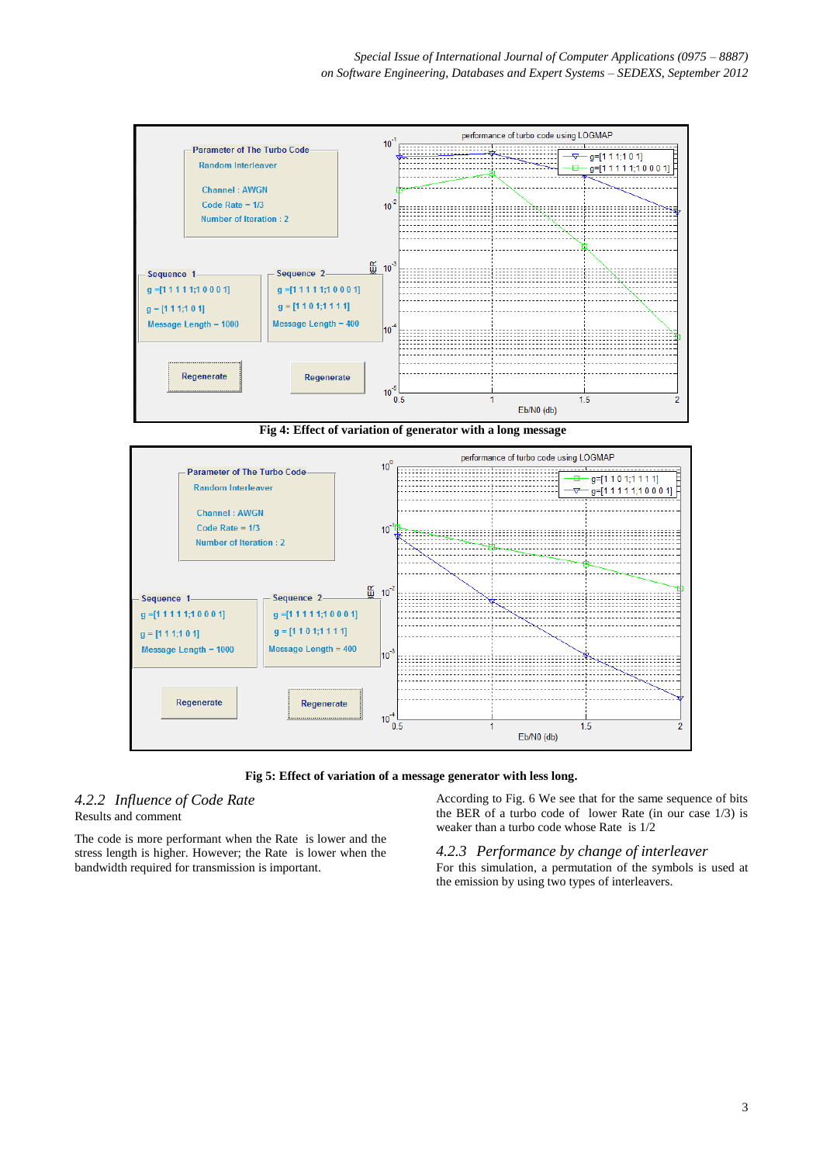

**Fig 4: Effect of variation of generator with a long message**



**Fig 5: Effect of variation of a message generator with less long.**

# *4.2.2 Influence of Code Rate* Results and comment

The code is more performant when the Rate is lower and the stress length is higher. However; the Rate is lower when the bandwidth required for transmission is important.

According to Fig. 6 We see that for the same sequence of bits the BER of a turbo code of lower Rate (in our case 1/3) is weaker than a turbo code whose Rate is 1/2

*4.2.3 Performance by change of interleaver* For this simulation, a permutation of the symbols is used at the emission by using two types of interleavers.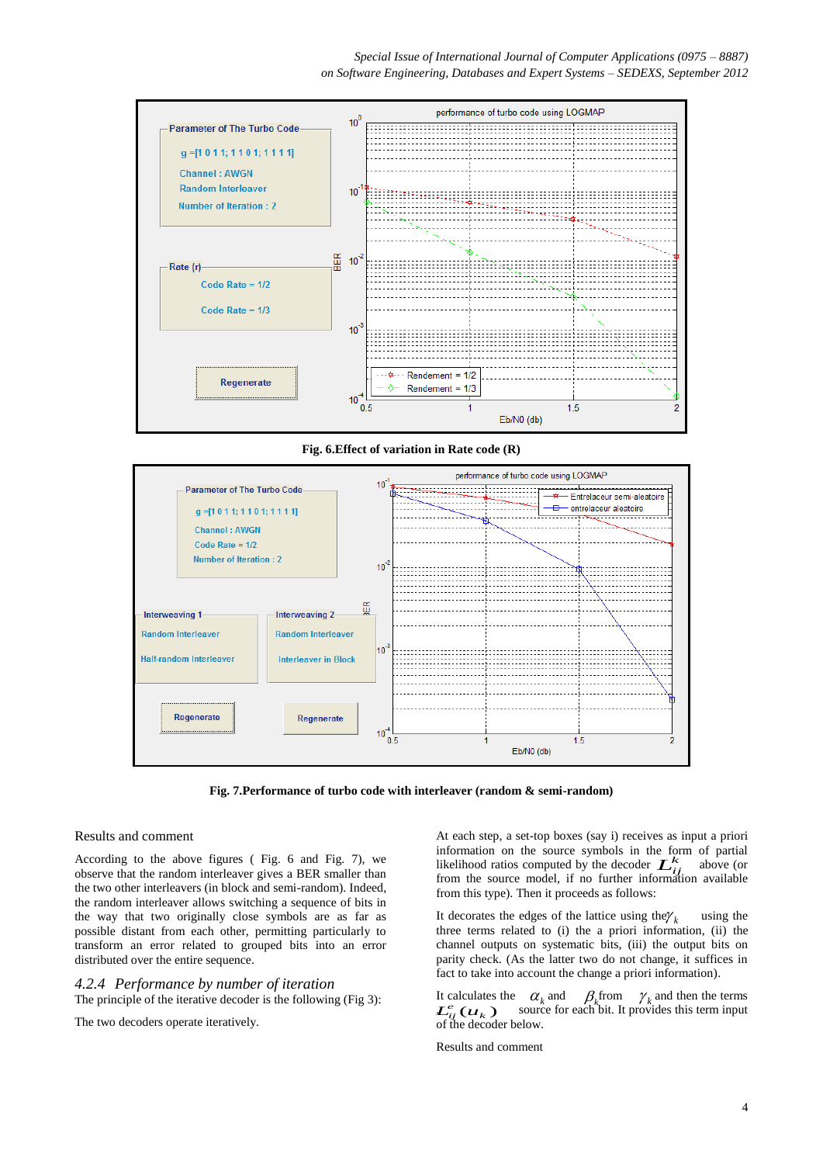

**Fig. 6.Effect of variation in Rate code (R)**



**Fig. 7.Performance of turbo code with interleaver (random & semi-random)**

#### Results and comment

According to the above figures ( Fig. 6 and Fig. 7), we observe that the random interleaver gives a BER smaller than the two other interleavers (in block and semi-random). Indeed, the random interleaver allows switching a sequence of bits in the way that two originally close symbols are as far as possible distant from each other, permitting particularly to transform an error related to grouped bits into an error distributed over the entire sequence.

#### *4.2.4 Performance by number of iteration*

The principle of the iterative decoder is the following (Fig 3):

The two decoders operate iteratively.

information on the source symbols in the form of partial<br>
likelihood ratios computed by the decoder  $\mathcal{L}_{ij}^k$  above (or At each step, a set-top boxes (say i) receives as input a priori information on the source symbols in the form of partial from the source model, if no further information available from this type). Then it proceeds as follows:

It decorates the edges of the lattice using the  $\gamma_k$  using the three terms related to (i) the a priori information, (ii) the channel outputs on systematic bits, (iii) the output bits on parity check. (As the latter two do not change, it suffices in fact to take into account the change a priori information).

It calculates the  $\alpha_k$  and  $\beta_k$  from  $\gamma_k$  and then the terms  $L_{ij}^e(u_k)$ source for each bit. It provides this term input of the decoder below.

Results and comment